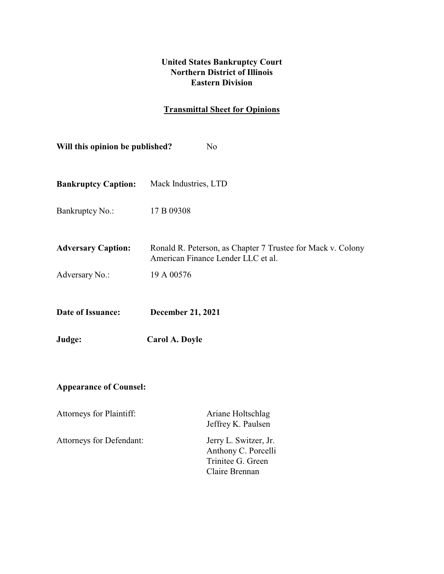## **United States Bankruptcy Court Northern District of Illinois Eastern Division**

# **Transmittal Sheet for Opinions**

| Will this opinion be published?<br>N <sub>o</sub> |                                                                                                   |  |  |
|---------------------------------------------------|---------------------------------------------------------------------------------------------------|--|--|
| <b>Bankruptcy Caption:</b>                        | Mack Industries, LTD                                                                              |  |  |
| Bankruptcy No.:                                   | 17 B 09308                                                                                        |  |  |
| <b>Adversary Caption:</b>                         | Ronald R. Peterson, as Chapter 7 Trustee for Mack v. Colony<br>American Finance Lender LLC et al. |  |  |
| Adversary No.:                                    | 19 A 00576                                                                                        |  |  |
| Date of Issuance:                                 | <b>December 21, 2021</b>                                                                          |  |  |
| Judge:                                            | Carol A. Doyle                                                                                    |  |  |
| <b>Appearance of Counsel:</b>                     |                                                                                                   |  |  |
| Attorneys for Plaintiff:                          | Ariane Holtschlag<br>Jeffrey K. Paulsen                                                           |  |  |
| Attorneys for Defendant:                          | Jerry L. Switzer, Jr.<br>Anthony C. Porcelli<br>Trinitee G. Green<br>Claire Brennan               |  |  |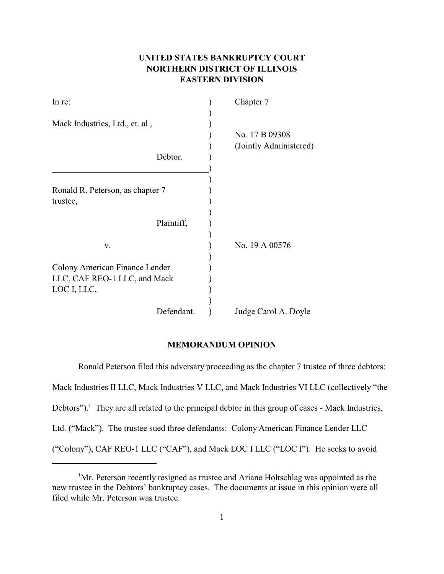### **UNITED STATES BANKRUPTCY COURT NORTHERN DISTRICT OF ILLINOIS EASTERN DIVISION**

| In re:                           |  | Chapter 7              |
|----------------------------------|--|------------------------|
| Mack Industries, Ltd., et. al.,  |  |                        |
|                                  |  | No. 17 B 09308         |
|                                  |  | (Jointly Administered) |
| Debtor.                          |  |                        |
|                                  |  |                        |
| Ronald R. Peterson, as chapter 7 |  |                        |
| trustee,                         |  |                        |
|                                  |  |                        |
| Plaintiff,                       |  |                        |
| V.                               |  | No. 19 A 00576         |
| Colony American Finance Lender   |  |                        |
| LLC, CAF REO-1 LLC, and Mack     |  |                        |
| LOC I, LLC,                      |  |                        |
|                                  |  |                        |
| Defendant.                       |  | Judge Carol A. Doyle   |

#### **MEMORANDUM OPINION**

Ronald Peterson filed this adversary proceeding as the chapter 7 trustee of three debtors: Mack Industries II LLC, Mack Industries V LLC, and Mack Industries VI LLC (collectively "the Debtors").<sup>1</sup> They are all related to the principal debtor in this group of cases - Mack Industries, Ltd. ("Mack"). The trustee sued three defendants: Colony American Finance Lender LLC ("Colony"), CAF REO-1 LLC ("CAF"), and Mack LOC I LLC ("LOC I"). He seeks to avoid

<sup>&</sup>lt;sup>1</sup>Mr. Peterson recently resigned as trustee and Ariane Holtschlag was appointed as the new trustee in the Debtors' bankruptcy cases. The documents at issue in this opinion were all filed while Mr. Peterson was trustee.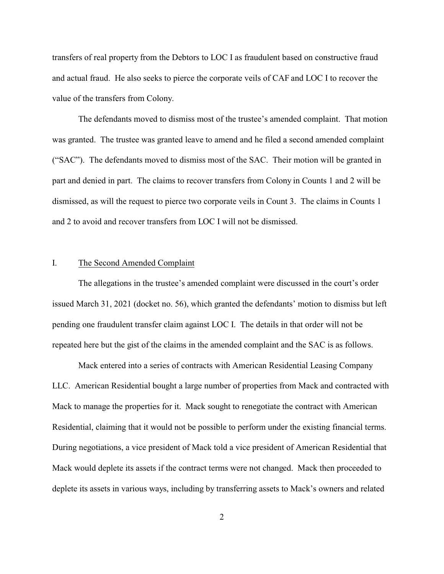transfers of real property from the Debtors to LOC I as fraudulent based on constructive fraud and actual fraud. He also seeks to pierce the corporate veils of CAF and LOC I to recover the value of the transfers from Colony.

The defendants moved to dismiss most of the trustee's amended complaint. That motion was granted. The trustee was granted leave to amend and he filed a second amended complaint ("SAC"). The defendants moved to dismiss most of the SAC. Their motion will be granted in part and denied in part. The claims to recover transfers from Colony in Counts 1 and 2 will be dismissed, as will the request to pierce two corporate veils in Count 3. The claims in Counts 1 and 2 to avoid and recover transfers from LOC I will not be dismissed.

#### I. The Second Amended Complaint

The allegations in the trustee's amended complaint were discussed in the court's order issued March 31, 2021 (docket no. 56), which granted the defendants' motion to dismiss but left pending one fraudulent transfer claim against LOC I. The details in that order will not be repeated here but the gist of the claims in the amended complaint and the SAC is as follows.

Mack entered into a series of contracts with American Residential Leasing Company LLC. American Residential bought a large number of properties from Mack and contracted with Mack to manage the properties for it. Mack sought to renegotiate the contract with American Residential, claiming that it would not be possible to perform under the existing financial terms. During negotiations, a vice president of Mack told a vice president of American Residential that Mack would deplete its assets if the contract terms were not changed. Mack then proceeded to deplete its assets in various ways, including by transferring assets to Mack's owners and related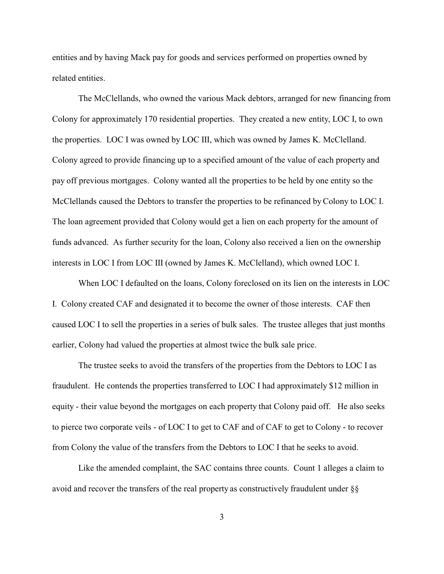entities and by having Mack pay for goods and services performed on properties owned by related entities.

The McClellands, who owned the various Mack debtors, arranged for new financing from Colony for approximately 170 residential properties. They created a new entity, LOC I, to own the properties. LOC I was owned by LOC III, which was owned by James K. McClelland. Colony agreed to provide financing up to a specified amount of the value of each property and pay off previous mortgages. Colony wanted all the properties to be held by one entity so the McClellands caused the Debtors to transfer the properties to be refinanced by Colony to LOC I. The loan agreement provided that Colony would get a lien on each property for the amount of funds advanced. As further security for the loan, Colony also received a lien on the ownership interests in LOC I from LOC III (owned by James K. McClelland), which owned LOC I.

When LOC I defaulted on the loans, Colony foreclosed on its lien on the interests in LOC I. Colony created CAF and designated it to become the owner of those interests. CAF then caused LOC I to sell the properties in a series of bulk sales. The trustee alleges that just months earlier, Colony had valued the properties at almost twice the bulk sale price.

The trustee seeks to avoid the transfers of the properties from the Debtors to LOC I as fraudulent. He contends the properties transferred to LOC I had approximately \$12 million in equity - their value beyond the mortgages on each property that Colony paid off. He also seeks to pierce two corporate veils - of LOC I to get to CAF and of CAF to get to Colony - to recover from Colony the value of the transfers from the Debtors to LOC I that he seeks to avoid.

Like the amended complaint, the SAC contains three counts. Count 1 alleges a claim to avoid and recover the transfers of the real property as constructively fraudulent under §§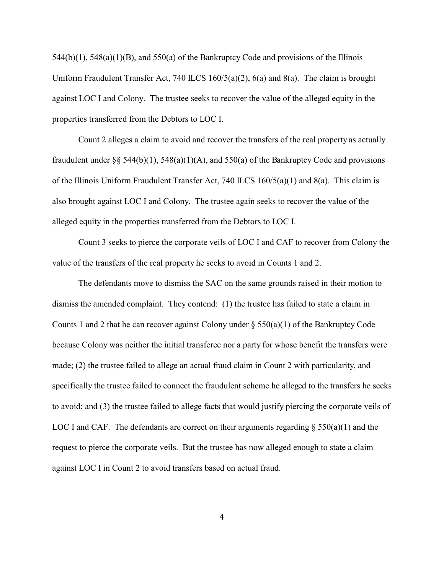$544(b)(1)$ ,  $548(a)(1)(B)$ , and  $550(a)$  of the Bankruptcy Code and provisions of the Illinois Uniform Fraudulent Transfer Act, 740 ILCS 160/5(a)(2), 6(a) and 8(a). The claim is brought against LOC I and Colony. The trustee seeks to recover the value of the alleged equity in the properties transferred from the Debtors to LOC I.

Count 2 alleges a claim to avoid and recover the transfers of the real property as actually fraudulent under §§ 544(b)(1), 548(a)(1)(A), and 550(a) of the Bankruptcy Code and provisions of the Illinois Uniform Fraudulent Transfer Act, 740 ILCS 160/5(a)(1) and 8(a). This claim is also brought against LOC I and Colony. The trustee again seeks to recover the value of the alleged equity in the properties transferred from the Debtors to LOC I.

Count 3 seeks to pierce the corporate veils of LOC I and CAF to recover from Colony the value of the transfers of the real property he seeks to avoid in Counts 1 and 2.

The defendants move to dismiss the SAC on the same grounds raised in their motion to dismiss the amended complaint. They contend: (1) the trustee has failed to state a claim in Counts 1 and 2 that he can recover against Colony under  $\S 550(a)(1)$  of the Bankruptcy Code because Colony was neither the initial transferee nor a party for whose benefit the transfers were made; (2) the trustee failed to allege an actual fraud claim in Count 2 with particularity, and specifically the trustee failed to connect the fraudulent scheme he alleged to the transfers he seeks to avoid; and (3) the trustee failed to allege facts that would justify piercing the corporate veils of LOC I and CAF. The defendants are correct on their arguments regarding  $\S$  550(a)(1) and the request to pierce the corporate veils. But the trustee has now alleged enough to state a claim against LOC I in Count 2 to avoid transfers based on actual fraud.

4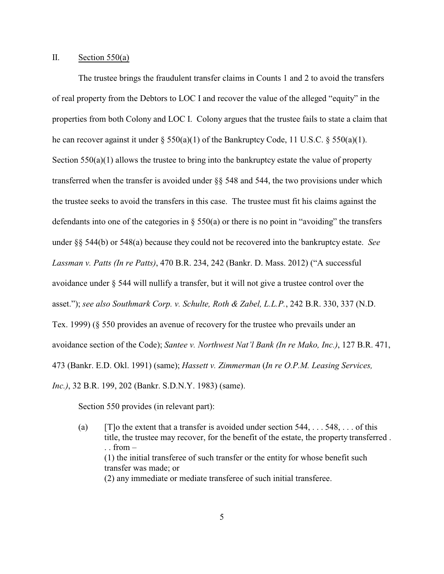#### II. Section  $550(a)$

The trustee brings the fraudulent transfer claims in Counts 1 and 2 to avoid the transfers of real property from the Debtors to LOC I and recover the value of the alleged "equity" in the properties from both Colony and LOC I. Colony argues that the trustee fails to state a claim that he can recover against it under § 550(a)(1) of the Bankruptcy Code, 11 U.S.C. § 550(a)(1). Section  $550(a)(1)$  allows the trustee to bring into the bankruptcy estate the value of property transferred when the transfer is avoided under §§ 548 and 544, the two provisions under which the trustee seeks to avoid the transfers in this case. The trustee must fit his claims against the defendants into one of the categories in § 550(a) or there is no point in "avoiding" the transfers under §§ 544(b) or 548(a) because they could not be recovered into the bankruptcy estate. *See Lassman v. Patts (In re Patts)*, 470 B.R. 234, 242 (Bankr. D. Mass. 2012) ("A successful avoidance under § 544 will nullify a transfer, but it will not give a trustee control over the asset."); *see also Southmark Corp. v. Schulte, Roth & Zabel, L.L.P.*, 242 B.R. 330, 337 (N.D. Tex. 1999) (§ 550 provides an avenue of recovery for the trustee who prevails under an avoidance section of the Code); *Santee v. Northwest Nat'l Bank (In re Mako, Inc.)*, 127 B.R. 471, 473 (Bankr. E.D. Okl. 1991) (same); *Hassett v. Zimmerman* (*In re O.P.M. Leasing Services, Inc.)*, 32 B.R. 199, 202 (Bankr. S.D.N.Y. 1983) (same).

Section 550 provides (in relevant part):

(a)  $[T]$ o the extent that a transfer is avoided under section 544, . . . 548, . . . of this title, the trustee may recover, for the benefit of the estate, the property transferred .  $\ldots$  from  $-$ (1) the initial transferee of such transfer or the entity for whose benefit such transfer was made; or (2) any immediate or mediate transferee of such initial transferee.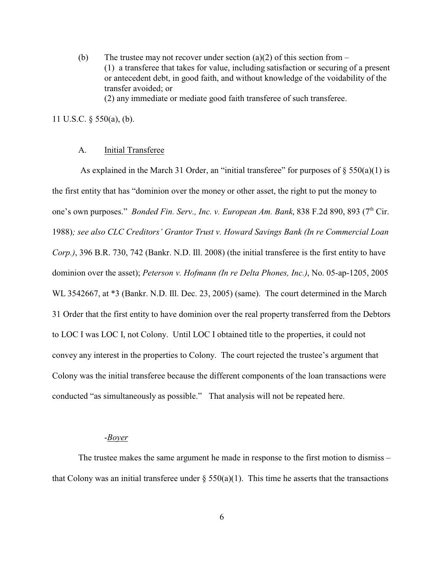(b) The trustee may not recover under section (a)(2) of this section from  $-$ (1) a transferee that takes for value, including satisfaction or securing of a present or antecedent debt, in good faith, and without knowledge of the voidability of the transfer avoided; or

### (2) any immediate or mediate good faith transferee of such transferee.

### 11 U.S.C. § 550(a), (b).

#### A. Initial Transferee

As explained in the March 31 Order, an "initial transferee" for purposes of  $\S 550(a)(1)$  is the first entity that has "dominion over the money or other asset, the right to put the money to one's own purposes." *Bonded Fin. Serv., Inc. v. European Am. Bank*, 838 F.2d 890, 893 (7<sup>th</sup> Cir. 1988)*; see also CLC Creditors' Grantor Trust v. Howard Savings Bank (In re Commercial Loan Corp.)*, 396 B.R. 730, 742 (Bankr. N.D. Ill. 2008) (the initial transferee is the first entity to have dominion over the asset); *Peterson v. Hofmann (In re Delta Phones, Inc.)*, No. 05-ap-1205, 2005 WL 3542667, at  $*3$  (Bankr. N.D. Ill. Dec. 23, 2005) (same). The court determined in the March 31 Order that the first entity to have dominion over the real property transferred from the Debtors to LOC I was LOC I, not Colony. Until LOC I obtained title to the properties, it could not convey any interest in the properties to Colony. The court rejected the trustee's argument that Colony was the initial transferee because the different components of the loan transactions were conducted "as simultaneously as possible." That analysis will not be repeated here.

#### -*Boyer*

The trustee makes the same argument he made in response to the first motion to dismiss – that Colony was an initial transferee under  $\S 550(a)(1)$ . This time he asserts that the transactions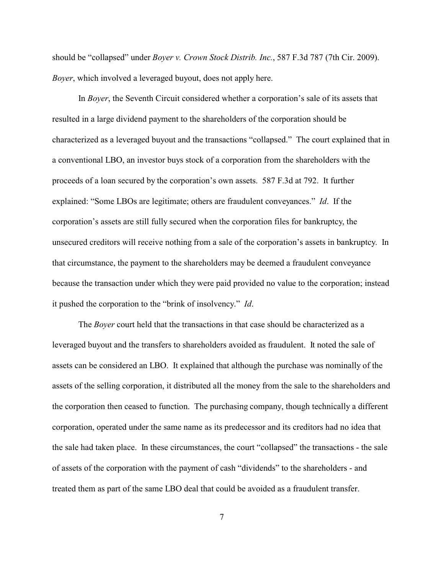should be "collapsed" under *Boyer v. Crown Stock Distrib. Inc.*, 587 F.3d 787 (7th Cir. 2009). *Boyer*, which involved a leveraged buyout, does not apply here.

In *Boyer*, the Seventh Circuit considered whether a corporation's sale of its assets that resulted in a large dividend payment to the shareholders of the corporation should be characterized as a leveraged buyout and the transactions "collapsed." The court explained that in a conventional LBO, an investor buys stock of a corporation from the shareholders with the proceeds of a loan secured by the corporation's own assets. 587 F.3d at 792. It further explained: "Some LBOs are legitimate; others are fraudulent conveyances." *Id*. If the corporation's assets are still fully secured when the corporation files for bankruptcy, the unsecured creditors will receive nothing from a sale of the corporation's assets in bankruptcy. In that circumstance, the payment to the shareholders may be deemed a fraudulent conveyance because the transaction under which they were paid provided no value to the corporation; instead it pushed the corporation to the "brink of insolvency." *Id*.

The *Boyer* court held that the transactions in that case should be characterized as a leveraged buyout and the transfers to shareholders avoided as fraudulent. It noted the sale of assets can be considered an LBO. It explained that although the purchase was nominally of the assets of the selling corporation, it distributed all the money from the sale to the shareholders and the corporation then ceased to function. The purchasing company, though technically a different corporation, operated under the same name as its predecessor and its creditors had no idea that the sale had taken place. In these circumstances, the court "collapsed" the transactions - the sale of assets of the corporation with the payment of cash "dividends" to the shareholders - and treated them as part of the same LBO deal that could be avoided as a fraudulent transfer.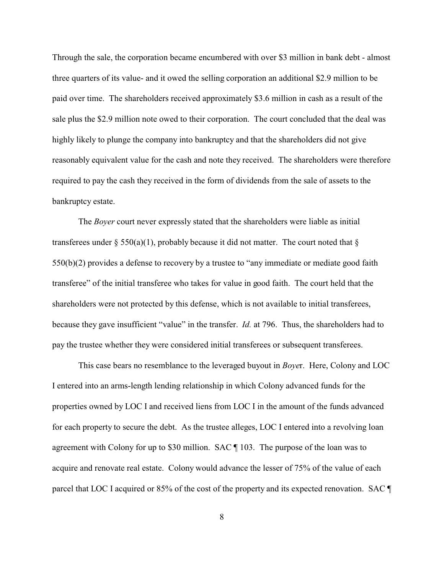Through the sale, the corporation became encumbered with over \$3 million in bank debt - almost three quarters of its value- and it owed the selling corporation an additional \$2.9 million to be paid over time. The shareholders received approximately \$3.6 million in cash as a result of the sale plus the \$2.9 million note owed to their corporation. The court concluded that the deal was highly likely to plunge the company into bankruptcy and that the shareholders did not give reasonably equivalent value for the cash and note they received. The shareholders were therefore required to pay the cash they received in the form of dividends from the sale of assets to the bankruptcy estate.

The *Boyer* court never expressly stated that the shareholders were liable as initial transferees under § 550(a)(1), probably because it did not matter. The court noted that § 550(b)(2) provides a defense to recovery by a trustee to "any immediate or mediate good faith transferee" of the initial transferee who takes for value in good faith. The court held that the shareholders were not protected by this defense, which is not available to initial transferees, because they gave insufficient "value" in the transfer. *Id.* at 796. Thus, the shareholders had to pay the trustee whether they were considered initial transferees or subsequent transferees.

This case bears no resemblance to the leveraged buyout in *Boye*r. Here, Colony and LOC I entered into an arms-length lending relationship in which Colony advanced funds for the properties owned by LOC I and received liens from LOC I in the amount of the funds advanced for each property to secure the debt. As the trustee alleges, LOC I entered into a revolving loan agreement with Colony for up to \$30 million. SAC ¶ 103. The purpose of the loan was to acquire and renovate real estate. Colony would advance the lesser of 75% of the value of each parcel that LOC I acquired or 85% of the cost of the property and its expected renovation. SAC ¶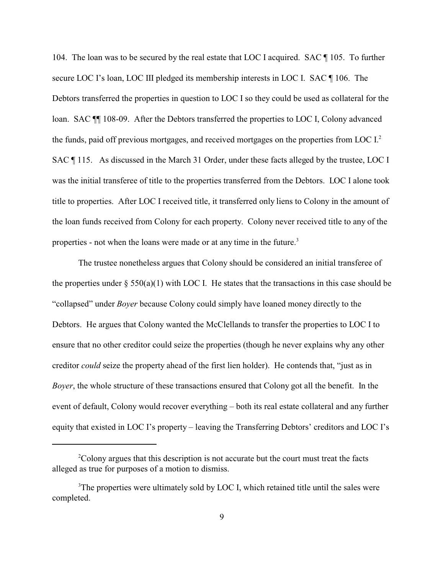104. The loan was to be secured by the real estate that LOC I acquired. SAC ¶ 105. To further secure LOC I's loan, LOC III pledged its membership interests in LOC I. SAC ¶ 106. The Debtors transferred the properties in question to LOC I so they could be used as collateral for the loan. SAC ¶¶ 108-09. After the Debtors transferred the properties to LOC I, Colony advanced the funds, paid off previous mortgages, and received mortgages on the properties from LOC I. 2 SAC  $\P$  115. As discussed in the March 31 Order, under these facts alleged by the trustee, LOC I was the initial transferee of title to the properties transferred from the Debtors. LOC I alone took title to properties. After LOC I received title, it transferred only liens to Colony in the amount of the loan funds received from Colony for each property. Colony never received title to any of the properties - not when the loans were made or at any time in the future.<sup>3</sup>

The trustee nonetheless argues that Colony should be considered an initial transferee of the properties under  $\S 550(a)(1)$  with LOC I. He states that the transactions in this case should be "collapsed" under *Boyer* because Colony could simply have loaned money directly to the Debtors. He argues that Colony wanted the McClellands to transfer the properties to LOC I to ensure that no other creditor could seize the properties (though he never explains why any other creditor *could* seize the property ahead of the first lien holder). He contends that, "just as in *Boyer*, the whole structure of these transactions ensured that Colony got all the benefit. In the event of default, Colony would recover everything – both its real estate collateral and any further equity that existed in LOC I's property – leaving the Transferring Debtors' creditors and LOC I's

 $2^2$ Colony argues that this description is not accurate but the court must treat the facts alleged as true for purposes of a motion to dismiss.

<sup>&</sup>lt;sup>3</sup>The properties were ultimately sold by LOC I, which retained title until the sales were completed.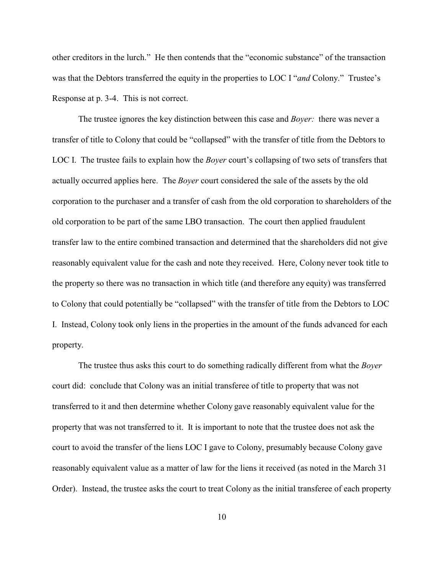other creditors in the lurch." He then contends that the "economic substance" of the transaction was that the Debtors transferred the equity in the properties to LOC I "*and* Colony." Trustee's Response at p. 3-4. This is not correct.

The trustee ignores the key distinction between this case and *Boyer:* there was never a transfer of title to Colony that could be "collapsed" with the transfer of title from the Debtors to LOC I. The trustee fails to explain how the *Boyer* court's collapsing of two sets of transfers that actually occurred applies here. The *Boyer* court considered the sale of the assets by the old corporation to the purchaser and a transfer of cash from the old corporation to shareholders of the old corporation to be part of the same LBO transaction. The court then applied fraudulent transfer law to the entire combined transaction and determined that the shareholders did not give reasonably equivalent value for the cash and note they received. Here, Colony never took title to the property so there was no transaction in which title (and therefore any equity) was transferred to Colony that could potentially be "collapsed" with the transfer of title from the Debtors to LOC I. Instead, Colony took only liens in the properties in the amount of the funds advanced for each property.

The trustee thus asks this court to do something radically different from what the *Boyer* court did: conclude that Colony was an initial transferee of title to property that was not transferred to it and then determine whether Colony gave reasonably equivalent value for the property that was not transferred to it. It is important to note that the trustee does not ask the court to avoid the transfer of the liens LOC I gave to Colony, presumably because Colony gave reasonably equivalent value as a matter of law for the liens it received (as noted in the March 31 Order). Instead, the trustee asks the court to treat Colony as the initial transferee of each property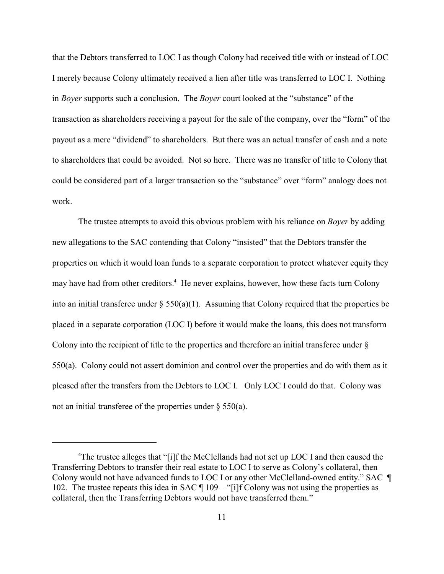that the Debtors transferred to LOC I as though Colony had received title with or instead of LOC I merely because Colony ultimately received a lien after title was transferred to LOC I. Nothing in *Boyer* supports such a conclusion. The *Boyer* court looked at the "substance" of the transaction as shareholders receiving a payout for the sale of the company, over the "form" of the payout as a mere "dividend" to shareholders. But there was an actual transfer of cash and a note to shareholders that could be avoided. Not so here. There was no transfer of title to Colony that could be considered part of a larger transaction so the "substance" over "form" analogy does not work.

The trustee attempts to avoid this obvious problem with his reliance on *Boyer* by adding new allegations to the SAC contending that Colony "insisted" that the Debtors transfer the properties on which it would loan funds to a separate corporation to protect whatever equity they may have had from other creditors.<sup>4</sup> He never explains, however, how these facts turn Colony into an initial transferee under  $\S 550(a)(1)$ . Assuming that Colony required that the properties be placed in a separate corporation (LOC I) before it would make the loans, this does not transform Colony into the recipient of title to the properties and therefore an initial transferee under § 550(a). Colony could not assert dominion and control over the properties and do with them as it pleased after the transfers from the Debtors to LOC I. Only LOC I could do that. Colony was not an initial transferee of the properties under § 550(a).

<sup>&</sup>lt;sup>4</sup>The trustee alleges that "[i]f the McClellands had not set up LOC I and then caused the Transferring Debtors to transfer their real estate to LOC I to serve as Colony's collateral, then Colony would not have advanced funds to LOC I or any other McClelland-owned entity." SAC ¶ 102. The trustee repeats this idea in SAC  $\P$  109 – "[i]f Colony was not using the properties as collateral, then the Transferring Debtors would not have transferred them."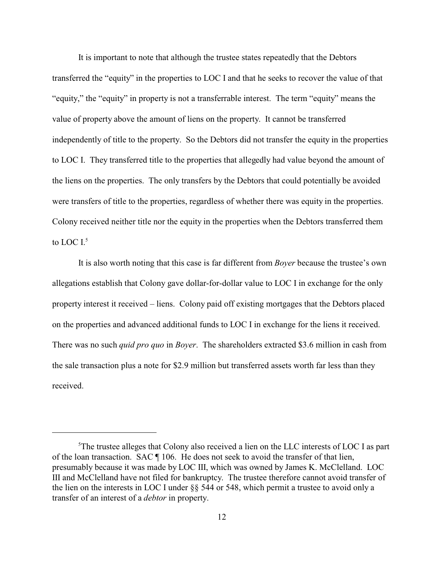It is important to note that although the trustee states repeatedly that the Debtors transferred the "equity" in the properties to LOC I and that he seeks to recover the value of that "equity," the "equity" in property is not a transferrable interest. The term "equity" means the value of property above the amount of liens on the property. It cannot be transferred independently of title to the property. So the Debtors did not transfer the equity in the properties to LOC I. They transferred title to the properties that allegedly had value beyond the amount of the liens on the properties. The only transfers by the Debtors that could potentially be avoided were transfers of title to the properties, regardless of whether there was equity in the properties. Colony received neither title nor the equity in the properties when the Debtors transferred them to LOC I.<sup>5</sup>

It is also worth noting that this case is far different from *Boyer* because the trustee's own allegations establish that Colony gave dollar-for-dollar value to LOC I in exchange for the only property interest it received – liens. Colony paid off existing mortgages that the Debtors placed on the properties and advanced additional funds to LOC I in exchange for the liens it received. There was no such *quid pro quo* in *Boyer*. The shareholders extracted \$3.6 million in cash from the sale transaction plus a note for \$2.9 million but transferred assets worth far less than they received.

<sup>&</sup>lt;sup>5</sup>The trustee alleges that Colony also received a lien on the LLC interests of LOC I as part of the loan transaction. SAC ¶ 106. He does not seek to avoid the transfer of that lien, presumably because it was made by LOC III, which was owned by James K. McClelland. LOC III and McClelland have not filed for bankruptcy. The trustee therefore cannot avoid transfer of the lien on the interests in LOC I under §§ 544 or 548, which permit a trustee to avoid only a transfer of an interest of a *debtor* in property.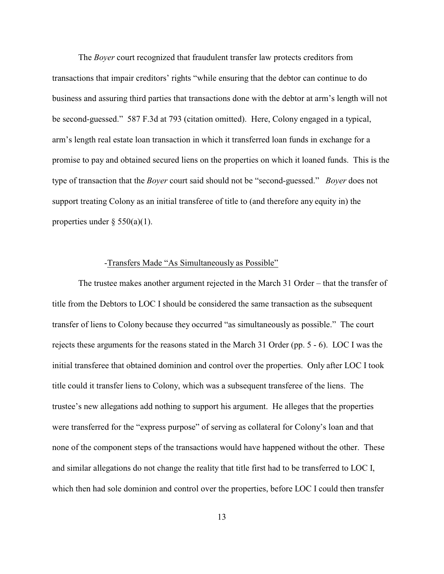The *Boyer* court recognized that fraudulent transfer law protects creditors from transactions that impair creditors' rights "while ensuring that the debtor can continue to do business and assuring third parties that transactions done with the debtor at arm's length will not be second-guessed." 587 F.3d at 793 (citation omitted). Here, Colony engaged in a typical, arm's length real estate loan transaction in which it transferred loan funds in exchange for a promise to pay and obtained secured liens on the properties on which it loaned funds. This is the type of transaction that the *Boyer* court said should not be "second-guessed." *Boyer* does not support treating Colony as an initial transferee of title to (and therefore any equity in) the properties under  $\S$  550(a)(1).

#### -Transfers Made "As Simultaneously as Possible"

The trustee makes another argument rejected in the March 31 Order – that the transfer of title from the Debtors to LOC I should be considered the same transaction as the subsequent transfer of liens to Colony because they occurred "as simultaneously as possible." The court rejects these arguments for the reasons stated in the March 31 Order (pp. 5 - 6). LOC I was the initial transferee that obtained dominion and control over the properties. Only after LOC I took title could it transfer liens to Colony, which was a subsequent transferee of the liens. The trustee's new allegations add nothing to support his argument. He alleges that the properties were transferred for the "express purpose" of serving as collateral for Colony's loan and that none of the component steps of the transactions would have happened without the other. These and similar allegations do not change the reality that title first had to be transferred to LOC I, which then had sole dominion and control over the properties, before LOC I could then transfer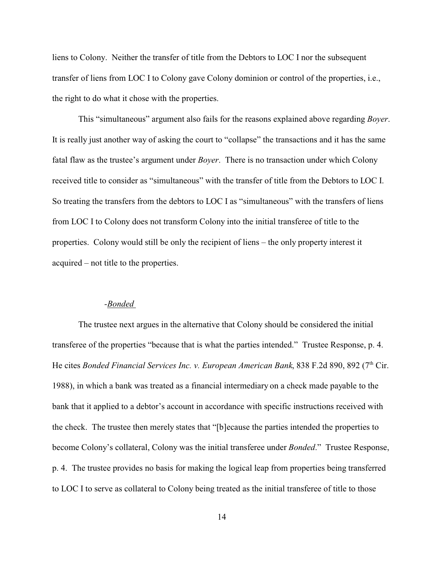liens to Colony. Neither the transfer of title from the Debtors to LOC I nor the subsequent transfer of liens from LOC I to Colony gave Colony dominion or control of the properties, i.e., the right to do what it chose with the properties.

This "simultaneous" argument also fails for the reasons explained above regarding *Boyer*. It is really just another way of asking the court to "collapse" the transactions and it has the same fatal flaw as the trustee's argument under *Boyer*. There is no transaction under which Colony received title to consider as "simultaneous" with the transfer of title from the Debtors to LOC I. So treating the transfers from the debtors to LOC I as "simultaneous" with the transfers of liens from LOC I to Colony does not transform Colony into the initial transferee of title to the properties. Colony would still be only the recipient of liens – the only property interest it acquired – not title to the properties.

#### *-Bonded*

The trustee next argues in the alternative that Colony should be considered the initial transferee of the properties "because that is what the parties intended." Trustee Response, p. 4. He cites *Bonded Financial Services Inc. v. European American Bank*, 838 F.2d 890, 892 (7<sup>th</sup> Cir. 1988), in which a bank was treated as a financial intermediary on a check made payable to the bank that it applied to a debtor's account in accordance with specific instructions received with the check. The trustee then merely states that "[b]ecause the parties intended the properties to become Colony's collateral, Colony was the initial transferee under *Bonded*." Trustee Response, p. 4. The trustee provides no basis for making the logical leap from properties being transferred to LOC I to serve as collateral to Colony being treated as the initial transferee of title to those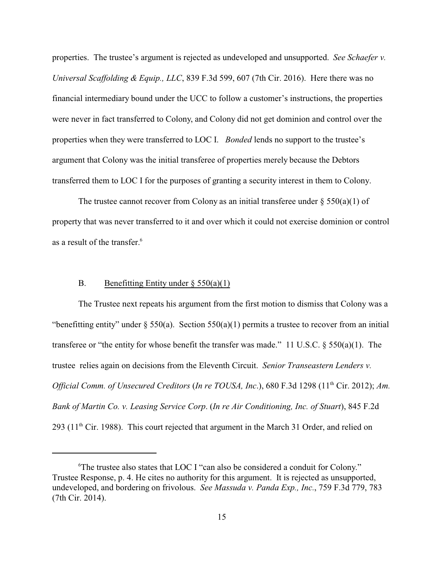properties. The trustee's argument is rejected as undeveloped and unsupported. *See Schaefer v. Universal Scaffolding & Equip., LLC*, 839 F.3d 599, 607 (7th Cir. 2016). Here there was no financial intermediary bound under the UCC to follow a customer's instructions, the properties were never in fact transferred to Colony, and Colony did not get dominion and control over the properties when they were transferred to LOC I. *Bonded* lends no support to the trustee's argument that Colony was the initial transferee of properties merely because the Debtors transferred them to LOC I for the purposes of granting a security interest in them to Colony.

The trustee cannot recover from Colony as an initial transferee under  $\S 550(a)(1)$  of property that was never transferred to it and over which it could not exercise dominion or control as a result of the transfer.<sup>6</sup>

### B. Benefitting Entity under  $\S 550(a)(1)$

The Trustee next repeats his argument from the first motion to dismiss that Colony was a "benefitting entity" under  $\S 550(a)$ . Section  $550(a)(1)$  permits a trustee to recover from an initial transferee or "the entity for whose benefit the transfer was made." 11 U.S.C.  $\S 550(a)(1)$ . The trustee relies again on decisions from the Eleventh Circuit. *Senior Transeastern Lenders v. Official Comm. of Unsecured Creditors (In re TOUSA, Inc.), 680 F.3d 1298 (11<sup>th</sup> Cir. 2012); <i>Am. Bank of Martin Co. v. Leasing Service Corp*. (*In re Air Conditioning, Inc. of Stuart*), 845 F.2d 293 (11<sup>th</sup> Cir. 1988). This court rejected that argument in the March 31 Order, and relied on

<sup>&</sup>lt;sup>6</sup>The trustee also states that LOC I "can also be considered a conduit for Colony." Trustee Response, p. 4. He cites no authority for this argument. It is rejected as unsupported, undeveloped, and bordering on frivolous. *See Massuda v. Panda Exp., Inc.*, 759 F.3d 779, 783 (7th Cir. 2014).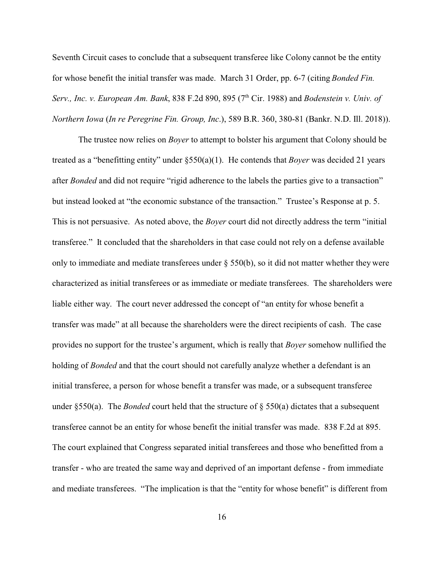Seventh Circuit cases to conclude that a subsequent transferee like Colony cannot be the entity for whose benefit the initial transfer was made. March 31 Order, pp. 6-7 (citing *Bonded Fin. Serv., Inc. v. European Am. Bank*, 838 F.2d 890, 895 (7<sup>th</sup> Cir. 1988) and *Bodenstein v. Univ. of Northern Iowa* (*In re Peregrine Fin. Group, Inc*.), 589 B.R. 360, 380-81 (Bankr. N.D. Ill. 2018)).

The trustee now relies on *Boyer* to attempt to bolster his argument that Colony should be treated as a "benefitting entity" under §550(a)(1). He contends that *Boyer* was decided 21 years after *Bonded* and did not require "rigid adherence to the labels the parties give to a transaction" but instead looked at "the economic substance of the transaction." Trustee's Response at p. 5. This is not persuasive. As noted above, the *Boyer* court did not directly address the term "initial transferee." It concluded that the shareholders in that case could not rely on a defense available only to immediate and mediate transferees under § 550(b), so it did not matter whether they were characterized as initial transferees or as immediate or mediate transferees. The shareholders were liable either way. The court never addressed the concept of "an entity for whose benefit a transfer was made" at all because the shareholders were the direct recipients of cash. The case provides no support for the trustee's argument, which is really that *Boyer* somehow nullified the holding of *Bonded* and that the court should not carefully analyze whether a defendant is an initial transferee, a person for whose benefit a transfer was made, or a subsequent transferee under §550(a). The *Bonded* court held that the structure of § 550(a) dictates that a subsequent transferee cannot be an entity for whose benefit the initial transfer was made. 838 F.2d at 895. The court explained that Congress separated initial transferees and those who benefitted from a transfer - who are treated the same way and deprived of an important defense - from immediate and mediate transferees. "The implication is that the "entity for whose benefit" is different from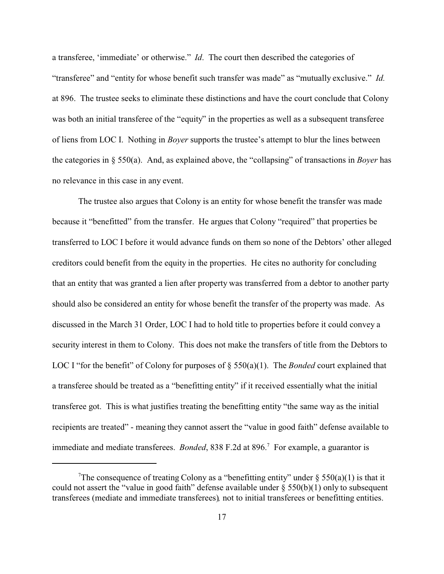a transferee, 'immediate' or otherwise." *Id*. The court then described the categories of "transferee" and "entity for whose benefit such transfer was made" as "mutually exclusive." *Id.* at 896. The trustee seeks to eliminate these distinctions and have the court conclude that Colony was both an initial transferee of the "equity" in the properties as well as a subsequent transferee of liens from LOC I. Nothing in *Boyer* supports the trustee's attempt to blur the lines between the categories in § 550(a). And, as explained above, the "collapsing" of transactions in *Boyer* has no relevance in this case in any event.

The trustee also argues that Colony is an entity for whose benefit the transfer was made because it "benefitted" from the transfer. He argues that Colony "required" that properties be transferred to LOC I before it would advance funds on them so none of the Debtors' other alleged creditors could benefit from the equity in the properties. He cites no authority for concluding that an entity that was granted a lien after property was transferred from a debtor to another party should also be considered an entity for whose benefit the transfer of the property was made. As discussed in the March 31 Order, LOC I had to hold title to properties before it could convey a security interest in them to Colony. This does not make the transfers of title from the Debtors to LOC I "for the benefit" of Colony for purposes of  $\S$  550(a)(1). The *Bonded* court explained that a transferee should be treated as a "benefitting entity" if it received essentially what the initial transferee got. This is what justifies treating the benefitting entity "the same way as the initial recipients are treated" - meaning they cannot assert the "value in good faith" defense available to immediate and mediate transferees. *Bonded*, 838 F.2d at 896.<sup>7</sup> For example, a guarantor is

<sup>&</sup>lt;sup>7</sup>The consequence of treating Colony as a "benefitting entity" under § 550(a)(1) is that it could not assert the "value in good faith" defense available under  $\S$  550(b)(1) only to subsequent transferees (mediate and immediate transferees)*,* not to initial transferees or benefitting entities.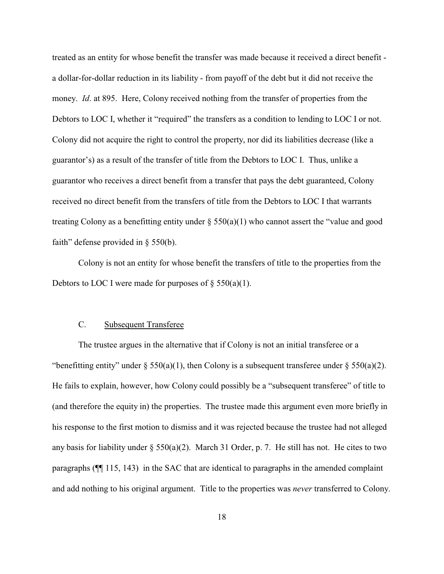treated as an entity for whose benefit the transfer was made because it received a direct benefit a dollar-for-dollar reduction in its liability - from payoff of the debt but it did not receive the money. *Id*. at 895. Here, Colony received nothing from the transfer of properties from the Debtors to LOC I, whether it "required" the transfers as a condition to lending to LOC I or not. Colony did not acquire the right to control the property, nor did its liabilities decrease (like a guarantor's) as a result of the transfer of title from the Debtors to LOC I. Thus, unlike a guarantor who receives a direct benefit from a transfer that pays the debt guaranteed, Colony received no direct benefit from the transfers of title from the Debtors to LOC I that warrants treating Colony as a benefitting entity under  $\S$  550(a)(1) who cannot assert the "value and good faith" defense provided in § 550(b).

Colony is not an entity for whose benefit the transfers of title to the properties from the Debtors to LOC I were made for purposes of  $\S$  550(a)(1).

#### C. Subsequent Transferee

The trustee argues in the alternative that if Colony is not an initial transferee or a "benefitting entity" under  $\S 550(a)(1)$ , then Colony is a subsequent transferee under  $\S 550(a)(2)$ . He fails to explain, however, how Colony could possibly be a "subsequent transferee" of title to (and therefore the equity in) the properties. The trustee made this argument even more briefly in his response to the first motion to dismiss and it was rejected because the trustee had not alleged any basis for liability under  $\S 550(a)(2)$ . March 31 Order, p. 7. He still has not. He cites to two paragraphs (¶¶ 115, 143) in the SAC that are identical to paragraphs in the amended complaint and add nothing to his original argument. Title to the properties was *never* transferred to Colony.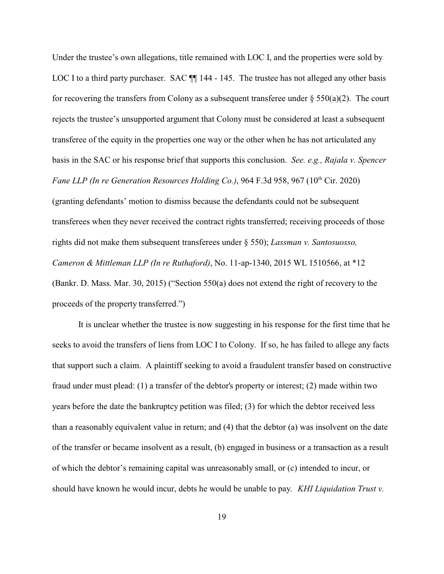Under the trustee's own allegations, title remained with LOC I, and the properties were sold by LOC I to a third party purchaser. SAC  $\P$  144 - 145. The trustee has not alleged any other basis for recovering the transfers from Colony as a subsequent transferee under  $\S 550(a)(2)$ . The court rejects the trustee's unsupported argument that Colony must be considered at least a subsequent transferee of the equity in the properties one way or the other when he has not articulated any basis in the SAC or his response brief that supports this conclusion. *See. e.g., Rajala v. Spencer* Fane LLP (In re Generation Resources Holding Co.), 964 F.3d 958, 967 (10<sup>th</sup> Cir. 2020) (granting defendants' motion to dismiss because the defendants could not be subsequent transferees when they never received the contract rights transferred; receiving proceeds of those rights did not make them subsequent transferees under § 550); *Lassman v. Santosuosso, Cameron & Mittleman LLP (In re Ruthaford)*, No. 11-ap-1340, 2015 WL 1510566, at \*12 (Bankr. D. Mass. Mar. 30, 2015) ("Section 550(a) does not extend the right of recovery to the proceeds of the property transferred.")

It is unclear whether the trustee is now suggesting in his response for the first time that he seeks to avoid the transfers of liens from LOC I to Colony. If so, he has failed to allege any facts that support such a claim. A plaintiff seeking to avoid a fraudulent transfer based on constructive fraud under must plead: (1) a transfer of the debtor's property or interest; (2) made within two years before the date the bankruptcy petition was filed; (3) for which the debtor received less than a reasonably equivalent value in return; and (4) that the debtor (a) was insolvent on the date of the transfer or became insolvent as a result, (b) engaged in business or a transaction as a result of which the debtor's remaining capital was unreasonably small, or (c) intended to incur, or should have known he would incur, debts he would be unable to pay. *KHI Liquidation Trust v.*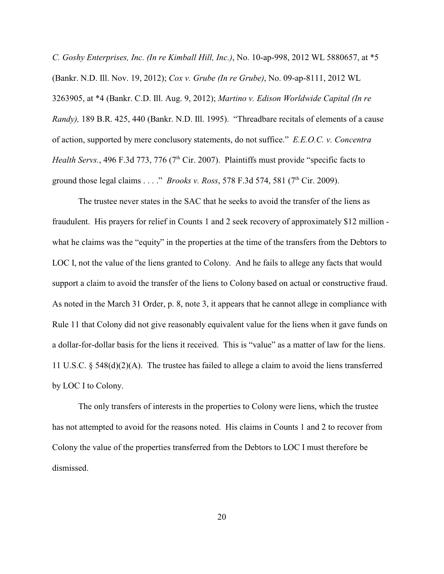*C. Goshy Enterprises, Inc. (In re Kimball Hill, Inc.)*, No. 10-ap-998, 2012 WL 5880657, at \*5 (Bankr. N.D. Ill. Nov. 19, 2012); *Cox v. Grube (In re Grube)*, No. 09-ap-8111, 2012 WL 3263905, at \*4 (Bankr. C.D. Ill. Aug. 9, 2012); *Martino v. Edison Worldwide Capital (In re Randy),* 189 B.R. 425, 440 (Bankr. N.D. Ill. 1995). "Threadbare recitals of elements of a cause of action, supported by mere conclusory statements, do not suffice." *E.E.O.C. v. Concentra Health Servs.*, 496 F.3d 773, 776 (7<sup>th</sup> Cir. 2007). Plaintiffs must provide "specific facts to ground those legal claims . . . ." *Brooks v. Ross*, 578 F.3d 574, 581 (7<sup>th</sup> Cir. 2009).

The trustee never states in the SAC that he seeks to avoid the transfer of the liens as fraudulent. His prayers for relief in Counts 1 and 2 seek recovery of approximately \$12 million what he claims was the "equity" in the properties at the time of the transfers from the Debtors to LOC I, not the value of the liens granted to Colony. And he fails to allege any facts that would support a claim to avoid the transfer of the liens to Colony based on actual or constructive fraud. As noted in the March 31 Order, p. 8, note 3, it appears that he cannot allege in compliance with Rule 11 that Colony did not give reasonably equivalent value for the liens when it gave funds on a dollar-for-dollar basis for the liens it received. This is "value" as a matter of law for the liens. 11 U.S.C. § 548(d)(2)(A). The trustee has failed to allege a claim to avoid the liens transferred by LOC I to Colony.

The only transfers of interests in the properties to Colony were liens, which the trustee has not attempted to avoid for the reasons noted. His claims in Counts 1 and 2 to recover from Colony the value of the properties transferred from the Debtors to LOC I must therefore be dismissed.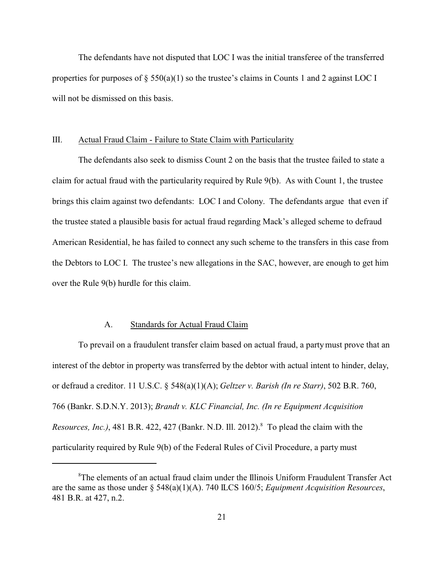The defendants have not disputed that LOC I was the initial transferee of the transferred properties for purposes of  $\S 550(a)(1)$  so the trustee's claims in Counts 1 and 2 against LOC I will not be dismissed on this basis.

#### III. Actual Fraud Claim - Failure to State Claim with Particularity

The defendants also seek to dismiss Count 2 on the basis that the trustee failed to state a claim for actual fraud with the particularity required by Rule 9(b). As with Count 1, the trustee brings this claim against two defendants: LOC I and Colony. The defendants argue that even if the trustee stated a plausible basis for actual fraud regarding Mack's alleged scheme to defraud American Residential, he has failed to connect any such scheme to the transfers in this case from the Debtors to LOC I. The trustee's new allegations in the SAC, however, are enough to get him over the Rule 9(b) hurdle for this claim.

#### A. Standards for Actual Fraud Claim

To prevail on a fraudulent transfer claim based on actual fraud, a partymust prove that an interest of the debtor in property was transferred by the debtor with actual intent to hinder, delay, or defraud a creditor. 11 U.S.C. § 548(a)(1)(A); *Geltzer v. Barish (In re Starr)*, 502 B.R. 760, 766 (Bankr. S.D.N.Y. 2013); *Brandt v. KLC Financial, Inc. (In re Equipment Acquisition* Resources, Inc.), 481 B.R. 422, 427 (Bankr. N.D. Ill. 2012).<sup>8</sup> To plead the claim with the particularity required by Rule 9(b) of the Federal Rules of Civil Procedure, a party must

<sup>8</sup>The elements of an actual fraud claim under the Illinois Uniform Fraudulent Transfer Act are the same as those under § 548(a)(1)(A). 740 ILCS 160/5; *Equipment Acquisition Resources*, 481 B.R. at 427, n.2.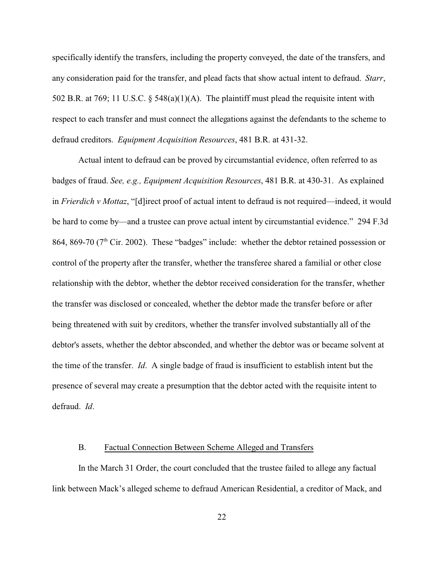specifically identify the transfers, including the property conveyed, the date of the transfers, and any consideration paid for the transfer, and plead facts that show actual intent to defraud. *Starr*, 502 B.R. at 769; 11 U.S.C.  $\S$  548(a)(1)(A). The plaintiff must plead the requisite intent with respect to each transfer and must connect the allegations against the defendants to the scheme to defraud creditors. *Equipment Acquisition Resources*, 481 B.R. at 431-32.

Actual intent to defraud can be proved by circumstantial evidence, often referred to as badges of fraud. *See, e.g., Equipment Acquisition Resources*, 481 B.R. at 430-31. As explained in *Frierdich v Mottaz*, "[d]irect proof of actual intent to defraud is not required—indeed, it would be hard to come by—and a trustee can prove actual intent by circumstantial evidence." 294 F.3d 864, 869-70 ( $7<sup>th</sup>$  Cir. 2002). These "badges" include: whether the debtor retained possession or control of the property after the transfer, whether the transferee shared a familial or other close relationship with the debtor, whether the debtor received consideration for the transfer, whether the transfer was disclosed or concealed, whether the debtor made the transfer before or after being threatened with suit by creditors, whether the transfer involved substantially all of the debtor's assets, whether the debtor absconded, and whether the debtor was or became solvent at the time of the transfer. *Id*. A single badge of fraud is insufficient to establish intent but the presence of several may create a presumption that the debtor acted with the requisite intent to defraud. *Id*.

#### B. Factual Connection Between Scheme Alleged and Transfers

In the March 31 Order, the court concluded that the trustee failed to allege any factual link between Mack's alleged scheme to defraud American Residential, a creditor of Mack, and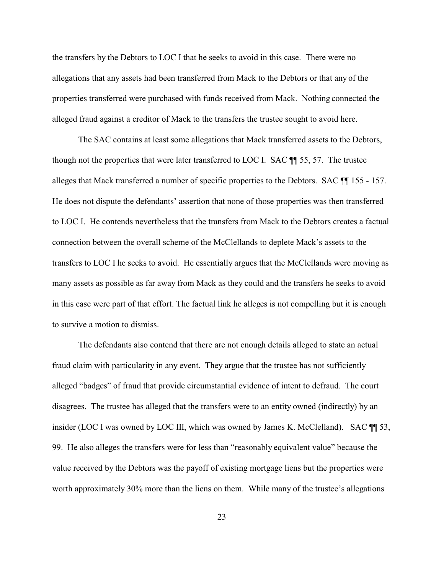the transfers by the Debtors to LOC I that he seeks to avoid in this case. There were no allegations that any assets had been transferred from Mack to the Debtors or that any of the properties transferred were purchased with funds received from Mack. Nothing connected the alleged fraud against a creditor of Mack to the transfers the trustee sought to avoid here.

The SAC contains at least some allegations that Mack transferred assets to the Debtors, though not the properties that were later transferred to LOC I. SAC ¶¶ 55, 57. The trustee alleges that Mack transferred a number of specific properties to the Debtors. SAC ¶¶ 155 - 157. He does not dispute the defendants' assertion that none of those properties was then transferred to LOC I. He contends nevertheless that the transfers from Mack to the Debtors creates a factual connection between the overall scheme of the McClellands to deplete Mack's assets to the transfers to LOC I he seeks to avoid. He essentially argues that the McClellands were moving as many assets as possible as far away from Mack as they could and the transfers he seeks to avoid in this case were part of that effort. The factual link he alleges is not compelling but it is enough to survive a motion to dismiss.

The defendants also contend that there are not enough details alleged to state an actual fraud claim with particularity in any event. They argue that the trustee has not sufficiently alleged "badges" of fraud that provide circumstantial evidence of intent to defraud. The court disagrees. The trustee has alleged that the transfers were to an entity owned (indirectly) by an insider (LOC I was owned by LOC III, which was owned by James K. McClelland). SAC  $\P$  53, 99. He also alleges the transfers were for less than "reasonably equivalent value" because the value received by the Debtors was the payoff of existing mortgage liens but the properties were worth approximately 30% more than the liens on them. While many of the trustee's allegations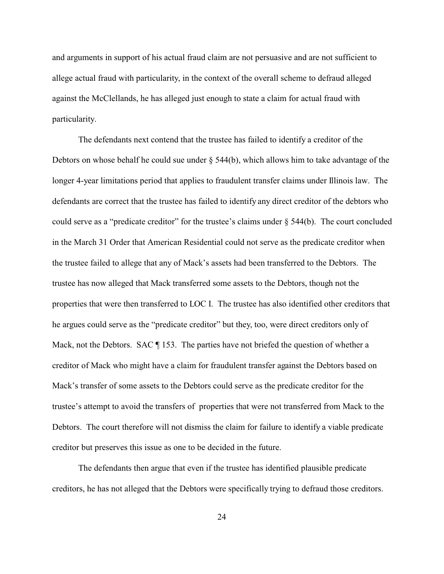and arguments in support of his actual fraud claim are not persuasive and are not sufficient to allege actual fraud with particularity, in the context of the overall scheme to defraud alleged against the McClellands, he has alleged just enough to state a claim for actual fraud with particularity.

The defendants next contend that the trustee has failed to identify a creditor of the Debtors on whose behalf he could sue under  $\S$  544(b), which allows him to take advantage of the longer 4-year limitations period that applies to fraudulent transfer claims under Illinois law. The defendants are correct that the trustee has failed to identify any direct creditor of the debtors who could serve as a "predicate creditor" for the trustee's claims under  $\S$  544(b). The court concluded in the March 31 Order that American Residential could not serve as the predicate creditor when the trustee failed to allege that any of Mack's assets had been transferred to the Debtors. The trustee has now alleged that Mack transferred some assets to the Debtors, though not the properties that were then transferred to LOC I. The trustee has also identified other creditors that he argues could serve as the "predicate creditor" but they, too, were direct creditors only of Mack, not the Debtors. SAC  $\P$  153. The parties have not briefed the question of whether a creditor of Mack who might have a claim for fraudulent transfer against the Debtors based on Mack's transfer of some assets to the Debtors could serve as the predicate creditor for the trustee's attempt to avoid the transfers of properties that were not transferred from Mack to the Debtors. The court therefore will not dismiss the claim for failure to identify a viable predicate creditor but preserves this issue as one to be decided in the future.

The defendants then argue that even if the trustee has identified plausible predicate creditors, he has not alleged that the Debtors were specifically trying to defraud those creditors.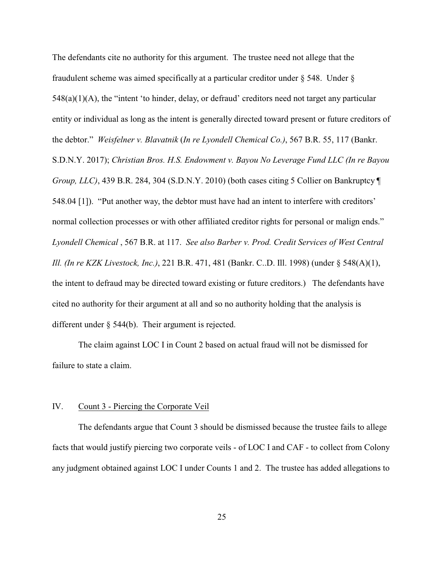The defendants cite no authority for this argument. The trustee need not allege that the fraudulent scheme was aimed specifically at a particular creditor under  $\S$  548. Under  $\S$  $548(a)(1)(A)$ , the "intent 'to hinder, delay, or defraud' creditors need not target any particular entity or individual as long as the intent is generally directed toward present or future creditors of the debtor." *Weisfelner v. Blavatnik* (*In re Lyondell Chemical Co.)*, 567 B.R. 55, 117 (Bankr. S.D.N.Y. 2017); *Christian Bros. H.S. Endowment v. Bayou No Leverage Fund LLC (In re Bayou Group, LLC)*, 439 B.R. 284, 304 (S.D.N.Y. 2010) (both cases citing 5 Collier on Bankruptcy  $\P$ 548.04 [1]). "Put another way, the debtor must have had an intent to interfere with creditors' normal collection processes or with other affiliated creditor rights for personal or malign ends." *Lyondell Chemical* , 567 B.R. at 117. *See also Barber v. Prod. Credit Services of West Central Ill. (In re KZK Livestock, Inc.)*, 221 B.R. 471, 481 (Bankr. C..D. Ill. 1998) (under § 548(A)(1), the intent to defraud may be directed toward existing or future creditors.) The defendants have cited no authority for their argument at all and so no authority holding that the analysis is different under § 544(b). Their argument is rejected.

The claim against LOC I in Count 2 based on actual fraud will not be dismissed for failure to state a claim.

#### IV. Count 3 - Piercing the Corporate Veil

The defendants argue that Count 3 should be dismissed because the trustee fails to allege facts that would justify piercing two corporate veils - of LOC I and CAF - to collect from Colony any judgment obtained against LOC I under Counts 1 and 2. The trustee has added allegations to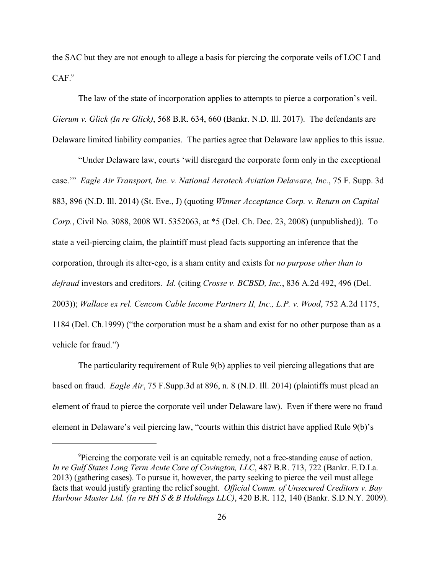the SAC but they are not enough to allege a basis for piercing the corporate veils of LOC I and  $CAF.<sup>9</sup>$ 

The law of the state of incorporation applies to attempts to pierce a corporation's veil. *Gierum v. Glick (In re Glick)*, 568 B.R. 634, 660 (Bankr. N.D. Ill. 2017). The defendants are Delaware limited liability companies. The parties agree that Delaware law applies to this issue.

"Under Delaware law, courts 'will disregard the corporate form only in the exceptional case.'" *Eagle Air Transport, Inc. v. National Aerotech Aviation Delaware, Inc.*, 75 F. Supp. 3d 883, 896 (N.D. Ill. 2014) (St. Eve., J) (quoting *Winner Acceptance Corp. v. Return on Capital Corp.*, Civil No. 3088, 2008 WL 5352063, at \*5 (Del. Ch. Dec. 23, 2008) (unpublished)). To state a veil-piercing claim, the plaintiff must plead facts supporting an inference that the corporation, through its alter-ego, is a sham entity and exists for *no purpose other than to defraud* investors and creditors. *Id.* (citing *Crosse v. BCBSD, Inc.*, 836 A.2d 492, 496 (Del. 2003)); *Wallace ex rel. Cencom Cable Income Partners II, Inc., L.P. v. Wood*, 752 A.2d 1175, 1184 (Del. Ch.1999) ("the corporation must be a sham and exist for no other purpose than as a vehicle for fraud.")

The particularity requirement of Rule 9(b) applies to veil piercing allegations that are based on fraud. *Eagle Air*, 75 F.Supp.3d at 896, n. 8 (N.D. Ill. 2014) (plaintiffs must plead an element of fraud to pierce the corporate veil under Delaware law). Even if there were no fraud element in Delaware's veil piercing law, "courts within this district have applied Rule 9(b)'s

<sup>&</sup>lt;sup>9</sup>Piercing the corporate veil is an equitable remedy, not a free-standing cause of action. *In re Gulf States Long Term Acute Care of Covington, LLC*, 487 B.R. 713, 722 (Bankr. E.D.La. 2013) (gathering cases). To pursue it, however, the party seeking to pierce the veil must allege facts that would justify granting the relief sought. *Official Comm. of Unsecured Creditors v. Bay Harbour Master Ltd. (In re BH S & B Holdings LLC)*, 420 B.R. 112, 140 (Bankr. S.D.N.Y. 2009).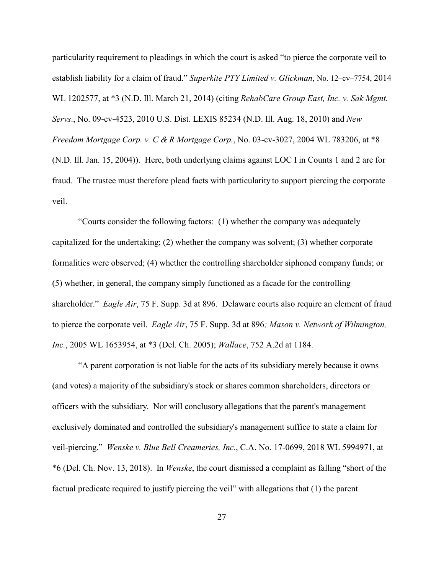particularity requirement to pleadings in which the court is asked "to pierce the corporate veil to establish liability for a claim of fraud." *Superkite PTY Limited v. Glickman*, No. 12–cv–7754, 2014 WL 1202577, at \*3 (N.D. Ill. March 21, 2014) (citing *RehabCare Group East, Inc. v. Sak Mgmt. Servs*., No. 09-cv-4523, 2010 U.S. Dist. LEXIS 85234 (N.D. Ill. Aug. 18, 2010) and *New Freedom Mortgage Corp. v. C & R Mortgage Corp.*, No. 03-cv-3027, 2004 WL 783206, at \*8 (N.D. Ill. Jan. 15, 2004)). Here, both underlying claims against LOC I in Counts 1 and 2 are for fraud. The trustee must therefore plead facts with particularity to support piercing the corporate veil.

"Courts consider the following factors: (1) whether the company was adequately capitalized for the undertaking; (2) whether the company was solvent; (3) whether corporate formalities were observed; (4) whether the controlling shareholder siphoned company funds; or (5) whether, in general, the company simply functioned as a facade for the controlling shareholder." *Eagle Air*, 75 F. Supp. 3d at 896. Delaware courts also require an element of fraud to pierce the corporate veil. *Eagle Air*, 75 F. Supp. 3d at 896*; Mason v. Network of Wilmington, Inc.*, 2005 WL 1653954, at \*3 (Del. Ch. 2005); *Wallace*, 752 A.2d at 1184.

"A parent corporation is not liable for the acts of its subsidiary merely because it owns (and votes) a majority of the subsidiary's stock or shares common shareholders, directors or officers with the subsidiary. Nor will conclusory allegations that the parent's management exclusively dominated and controlled the subsidiary's management suffice to state a claim for veil-piercing." *Wenske v. Blue Bell Creameries, Inc.*, C.A. No. 17-0699, 2018 WL 5994971, at \*6 (Del. Ch. Nov. 13, 2018). In *Wenske*, the court dismissed a complaint as falling "short of the factual predicate required to justify piercing the veil" with allegations that (1) the parent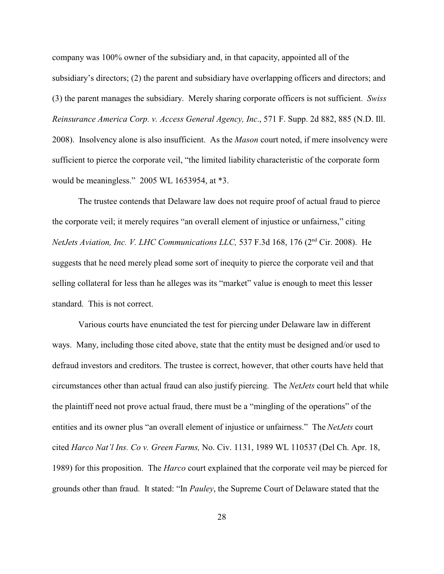company was 100% owner of the subsidiary and, in that capacity, appointed all of the subsidiary's directors; (2) the parent and subsidiary have overlapping officers and directors; and (3) the parent manages the subsidiary. Merely sharing corporate officers is not sufficient. *Swiss Reinsurance America Corp. v. Access General Agency, Inc.*, 571 F. Supp. 2d 882, 885 (N.D. Ill. 2008). Insolvency alone is also insufficient. As the *Mason* court noted, if mere insolvency were sufficient to pierce the corporate veil, "the limited liability characteristic of the corporate form would be meaningless." 2005 WL 1653954, at \*3.

The trustee contends that Delaware law does not require proof of actual fraud to pierce the corporate veil; it merely requires "an overall element of injustice or unfairness," citing NetJets Aviation, Inc. V. LHC Communications LLC, 537 F.3d 168, 176 (2<sup>nd</sup> Cir. 2008). He suggests that he need merely plead some sort of inequity to pierce the corporate veil and that selling collateral for less than he alleges was its "market" value is enough to meet this lesser standard. This is not correct.

Various courts have enunciated the test for piercing under Delaware law in different ways. Many, including those cited above, state that the entity must be designed and/or used to defraud investors and creditors. The trustee is correct, however, that other courts have held that circumstances other than actual fraud can also justify piercing. The *NetJets* court held that while the plaintiff need not prove actual fraud, there must be a "mingling of the operations" of the entities and its owner plus "an overall element of injustice or unfairness." The *NetJets* court cited *Harco Nat'l Ins. Co v. Green Farms,* No. Civ. 1131, 1989 WL 110537 (Del Ch. Apr. 18, 1989) for this proposition. The *Harco* court explained that the corporate veil may be pierced for grounds other than fraud. It stated: "In *Pauley*, the Supreme Court of Delaware stated that the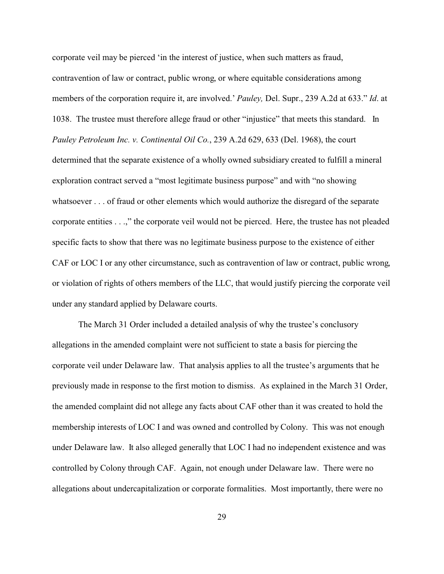corporate veil may be pierced 'in the interest of justice, when such matters as fraud, contravention of law or contract, public wrong, or where equitable considerations among members of the corporation require it, are involved.' *Pauley,* Del. Supr., 239 A.2d at 633." *Id*. at 1038. The trustee must therefore allege fraud or other "injustice" that meets this standard. In *Pauley Petroleum Inc. v. Continental Oil Co.*, 239 A.2d 629, 633 (Del. 1968), the court determined that the separate existence of a wholly owned subsidiary created to fulfill a mineral exploration contract served a "most legitimate business purpose" and with "no showing whatsoever . . . of fraud or other elements which would authorize the disregard of the separate corporate entities . . .," the corporate veil would not be pierced.Here, the trustee has not pleaded specific facts to show that there was no legitimate business purpose to the existence of either CAF or LOC I or any other circumstance, such as contravention of law or contract, public wrong, or violation of rights of others members of the LLC, that would justify piercing the corporate veil under any standard applied by Delaware courts.

The March 31 Order included a detailed analysis of why the trustee's conclusory allegations in the amended complaint were not sufficient to state a basis for piercing the corporate veil under Delaware law. That analysis applies to all the trustee's arguments that he previously made in response to the first motion to dismiss. As explained in the March 31 Order, the amended complaint did not allege any facts about CAF other than it was created to hold the membership interests of LOC I and was owned and controlled by Colony. This was not enough under Delaware law. It also alleged generally that LOC I had no independent existence and was controlled by Colony through CAF. Again, not enough under Delaware law. There were no allegations about undercapitalization or corporate formalities. Most importantly, there were no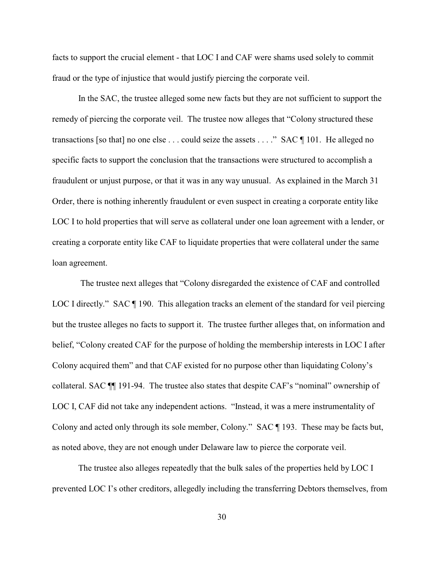facts to support the crucial element - that LOC I and CAF were shams used solely to commit fraud or the type of injustice that would justify piercing the corporate veil.

In the SAC, the trustee alleged some new facts but they are not sufficient to support the remedy of piercing the corporate veil. The trustee now alleges that "Colony structured these transactions [so that] no one else . . . could seize the assets . . . ." SAC ¶ 101. He alleged no specific facts to support the conclusion that the transactions were structured to accomplish a fraudulent or unjust purpose, or that it was in any way unusual. As explained in the March 31 Order, there is nothing inherently fraudulent or even suspect in creating a corporate entity like LOC I to hold properties that will serve as collateral under one loan agreement with a lender, or creating a corporate entity like CAF to liquidate properties that were collateral under the same loan agreement.

 The trustee next alleges that "Colony disregarded the existence of CAF and controlled LOC I directly." SAC  $\P$  190. This allegation tracks an element of the standard for veil piercing but the trustee alleges no facts to support it. The trustee further alleges that, on information and belief, "Colony created CAF for the purpose of holding the membership interests in LOC I after Colony acquired them" and that CAF existed for no purpose other than liquidating Colony's collateral. SAC ¶¶ 191-94. The trustee also states that despite CAF's "nominal" ownership of LOC I, CAF did not take any independent actions. "Instead, it was a mere instrumentality of Colony and acted only through its sole member, Colony." SAC ¶ 193. These may be facts but, as noted above, they are not enough under Delaware law to pierce the corporate veil.

The trustee also alleges repeatedly that the bulk sales of the properties held by LOC I prevented LOC I's other creditors, allegedly including the transferring Debtors themselves, from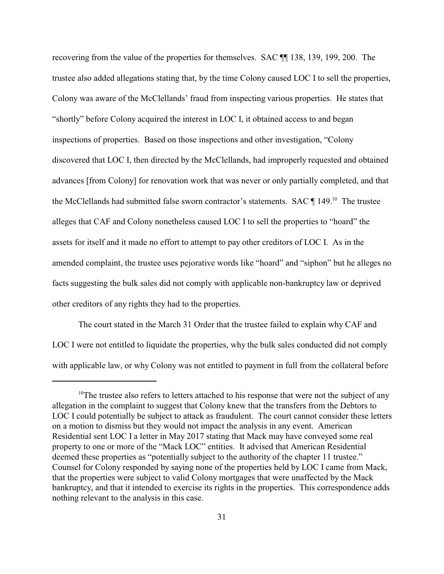recovering from the value of the properties for themselves. SAC ¶¶ 138, 139, 199, 200. The trustee also added allegations stating that, by the time Colony caused LOC I to sell the properties, Colony was aware of the McClellands' fraud from inspecting various properties. He states that "shortly" before Colony acquired the interest in LOC I, it obtained access to and began inspections of properties. Based on those inspections and other investigation, "Colony discovered that LOC I, then directed by the McClellands, had improperly requested and obtained advances [from Colony] for renovation work that was never or only partially completed, and that the McClellands had submitted false sworn contractor's statements. SAC  $\P$  149.<sup>10</sup> The trustee alleges that CAF and Colony nonetheless caused LOC I to sell the properties to "hoard" the assets for itself and it made no effort to attempt to pay other creditors of LOC I. As in the amended complaint, the trustee uses pejorative words like "hoard" and "siphon" but he alleges no facts suggesting the bulk sales did not comply with applicable non-bankruptcy law or deprived other creditors of any rights they had to the properties.

The court stated in the March 31 Order that the trustee failed to explain why CAF and LOC I were not entitled to liquidate the properties, why the bulk sales conducted did not comply with applicable law, or why Colony was not entitled to payment in full from the collateral before

 $10$ <sup>10</sup>The trustee also refers to letters attached to his response that were not the subject of any allegation in the complaint to suggest that Colony knew that the transfers from the Debtors to LOC I could potentially be subject to attack as fraudulent. The court cannot consider these letters on a motion to dismiss but they would not impact the analysis in any event. American Residential sent LOC I a letter in May 2017 stating that Mack may have conveyed some real property to one or more of the "Mack LOC" entities. It advised that American Residential deemed these properties as "potentially subject to the authority of the chapter 11 trustee." Counsel for Colony responded by saying none of the properties held by LOC I came from Mack, that the properties were subject to valid Colony mortgages that were unaffected by the Mack bankruptcy, and that it intended to exercise its rights in the properties. This correspondence adds nothing relevant to the analysis in this case.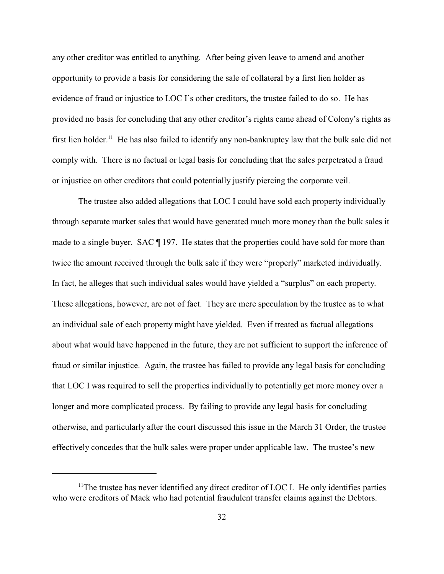any other creditor was entitled to anything. After being given leave to amend and another opportunity to provide a basis for considering the sale of collateral by a first lien holder as evidence of fraud or injustice to LOC I's other creditors, the trustee failed to do so. He has provided no basis for concluding that any other creditor's rights came ahead of Colony's rights as first lien holder.<sup>11</sup> He has also failed to identify any non-bankruptcy law that the bulk sale did not comply with. There is no factual or legal basis for concluding that the sales perpetrated a fraud or injustice on other creditors that could potentially justify piercing the corporate veil.

The trustee also added allegations that LOC I could have sold each property individually through separate market sales that would have generated much more money than the bulk sales it made to a single buyer. SAC  $\parallel$  197. He states that the properties could have sold for more than twice the amount received through the bulk sale if they were "properly" marketed individually. In fact, he alleges that such individual sales would have yielded a "surplus" on each property. These allegations, however, are not of fact. They are mere speculation by the trustee as to what an individual sale of each property might have yielded. Even if treated as factual allegations about what would have happened in the future, they are not sufficient to support the inference of fraud or similar injustice. Again, the trustee has failed to provide any legal basis for concluding that LOC I was required to sell the properties individually to potentially get more money over a longer and more complicated process. By failing to provide any legal basis for concluding otherwise, and particularly after the court discussed this issue in the March 31 Order, the trustee effectively concedes that the bulk sales were proper under applicable law. The trustee's new

 $11$ The trustee has never identified any direct creditor of LOC I. He only identifies parties who were creditors of Mack who had potential fraudulent transfer claims against the Debtors.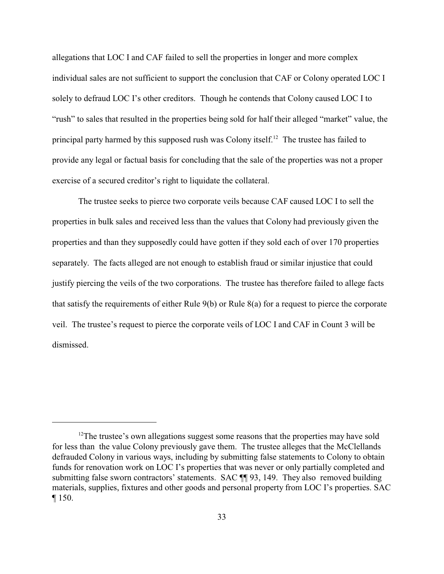allegations that LOC I and CAF failed to sell the properties in longer and more complex individual sales are not sufficient to support the conclusion that CAF or Colony operated LOC I solely to defraud LOC I's other creditors. Though he contends that Colony caused LOC I to "rush" to sales that resulted in the properties being sold for half their alleged "market" value, the principal party harmed by this supposed rush was Colony itself.<sup>12</sup> The trustee has failed to provide any legal or factual basis for concluding that the sale of the properties was not a proper exercise of a secured creditor's right to liquidate the collateral.

The trustee seeks to pierce two corporate veils because CAF caused LOC I to sell the properties in bulk sales and received less than the values that Colony had previously given the properties and than they supposedly could have gotten if they sold each of over 170 properties separately. The facts alleged are not enough to establish fraud or similar injustice that could justify piercing the veils of the two corporations. The trustee has therefore failed to allege facts that satisfy the requirements of either Rule 9(b) or Rule 8(a) for a request to pierce the corporate veil. The trustee's request to pierce the corporate veils of LOC I and CAF in Count 3 will be dismissed.

<sup>&</sup>lt;sup>12</sup>The trustee's own allegations suggest some reasons that the properties may have sold for less than the value Colony previously gave them. The trustee alleges that the McClellands defrauded Colony in various ways, including by submitting false statements to Colony to obtain funds for renovation work on LOC I's properties that was never or only partially completed and submitting false sworn contractors' statements. SAC ¶ 93, 149. They also removed building materials, supplies, fixtures and other goods and personal property from LOC I's properties. SAC ¶ 150.